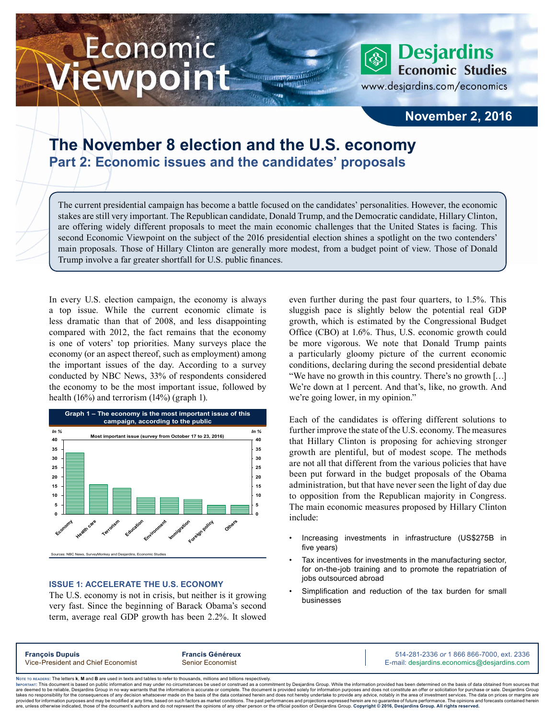# Economic ewpoint

**Desjardins Economic Studies** 

www.desjardins.com/economics

### **November 2, 2016**

### **The November 8 election and the U.S. economy Part 2: Economic issues and the candidates' proposals**

The current presidential campaign has become a battle focused on the candidates' personalities. However, the economic stakes are still very important. The Republican candidate, Donald Trump, and the Democratic candidate, Hillary Clinton, are offering widely different proposals to meet the main economic challenges that the United States is facing. This second Economic Viewpoint on the subject of the 2016 presidential election shines a spotlight on the two contenders' main proposals. Those of Hillary Clinton are generally more modest, from a budget point of view. Those of Donald Trump involve a far greater shortfall for U.S. public finances.

 $111$ 

In every U.S. election campaign, the economy is always a top issue. While the current economic climate is less dramatic than that of 2008, and less disappointing compared with 2012, the fact remains that the economy is one of voters' top priorities. Many surveys place the economy (or an aspect thereof, such as employment) among the important issues of the day. According to a survey conducted by NBC News, 33% of respondents considered the economy to be the most important issue, followed by health (16%) and terrorism (14%) (graph 1).



### **ISSUE 1: ACCELERATE THE U.S. ECONOMY**

The U.S. economy is not in crisis, but neither is it growing very fast. Since the beginning of Barack Obama's second term, average real GDP growth has been 2.2%. It slowed even further during the past four quarters, to 1.5%. This sluggish pace is slightly below the potential real GDP growth, which is estimated by the Congressional Budget Office (CBO) at 1.6%. Thus, U.S. economic growth could be more vigorous. We note that Donald Trump paints a particularly gloomy picture of the current economic conditions, declaring during the second presidential debate "We have no growth in this country. There's no growth […] We're down at 1 percent. And that's, like, no growth. And we're going lower, in my opinion."

Each of the candidates is offering different solutions to further improve the state of the U.S. economy. The measures that Hillary Clinton is proposing for achieving stronger growth are plentiful, but of modest scope. The methods are not all that different from the various policies that have been put forward in the budget proposals of the Obama administration, but that have never seen the light of day due to opposition from the Republican majority in Congress. The main economic measures proposed by Hillary Clinton include:

- Increasing investments in infrastructure (US\$275B in five years)
- Tax incentives for investments in the manufacturing sector, for on-the-job training and to promote the repatriation of jobs outsourced abroad
- Simplification and reduction of the tax burden for small businesses

**Francois Dupuis Francis Généreux Francis Généreux** 514-281-2336 *or* 1 866 866-7000, ext. 2336 Vice-President and Chief Economist Senior Economist Senior Economist E-mail: desjardins.economics@desjardins.com

Noте то келоекs: The letters **k, M** and **B** are used in texts and tables to refer to thousands, millions and billions respectively.<br>Імроктлит: This document is based on public information and may under no circumstances be are deemed to be reliable. Desiardins Group in no way warrants that the information is accurate or complete. The document is provided solely for information purposes and does not constitute an offer or solicitation for pur takes no responsibility for the consequences of any decision whatsoever made on the basis of the data contained herein and does not hereby undertake to provide any advice, notably in the area of investment services. The da .<br>are, unless otherwise indicated, those of the document's authors and do not represent the opinions of any other person or the official position of Desjardins Group. Copyright @ 2016, Desjardins Group. All rights reserved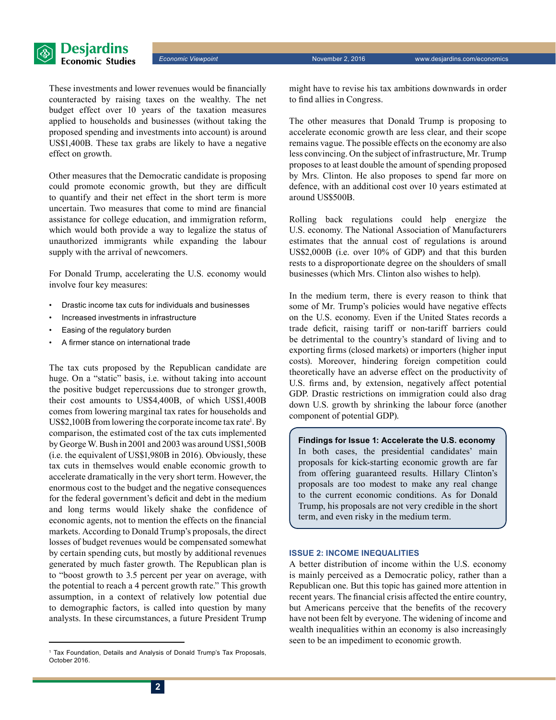

These investments and lower revenues would be financially counteracted by raising taxes on the wealthy. The net budget effect over 10 years of the taxation measures applied to households and businesses (without taking the proposed spending and investments into account) is around US\$1,400B. These tax grabs are likely to have a negative effect on growth.

Other measures that the Democratic candidate is proposing could promote economic growth, but they are difficult to quantify and their net effect in the short term is more uncertain. Two measures that come to mind are financial assistance for college education, and immigration reform, which would both provide a way to legalize the status of unauthorized immigrants while expanding the labour supply with the arrival of newcomers.

For Donald Trump, accelerating the U.S. economy would involve four key measures:

- Drastic income tax cuts for individuals and businesses
- Increased investments in infrastructure
- Easing of the regulatory burden
- A firmer stance on international trade

The tax cuts proposed by the Republican candidate are huge. On a "static" basis, i.e. without taking into account the positive budget repercussions due to stronger growth, their cost amounts to US\$4,400B, of which US\$1,400B comes from lowering marginal tax rates for households and US\$2,100B from lowering the corporate income tax rate<sup>1</sup>. By comparison, the estimated cost of the tax cuts implemented by George W. Bush in 2001 and 2003 was around US\$1,500B (i.e. the equivalent of US\$1,980B in 2016). Obviously, these tax cuts in themselves would enable economic growth to accelerate dramatically in the very short term. However, the enormous cost to the budget and the negative consequences for the federal government's deficit and debt in the medium and long terms would likely shake the confidence of economic agents, not to mention the effects on the financial markets. According to Donald Trump's proposals, the direct losses of budget revenues would be compensated somewhat by certain spending cuts, but mostly by additional revenues generated by much faster growth. The Republican plan is to "boost growth to 3.5 percent per year on average, with the potential to reach a 4 percent growth rate." This growth assumption, in a context of relatively low potential due to demographic factors, is called into question by many analysts. In these circumstances, a future President Trump

might have to revise his tax ambitions downwards in order to find allies in Congress.

The other measures that Donald Trump is proposing to accelerate economic growth are less clear, and their scope remains vague. The possible effects on the economy are also less convincing. On the subject of infrastructure, Mr. Trump proposes to at least double the amount of spending proposed by Mrs. Clinton. He also proposes to spend far more on defence, with an additional cost over 10 years estimated at around US\$500B.

Rolling back regulations could help energize the U.S. economy. The National Association of Manufacturers estimates that the annual cost of regulations is around US\$2,000B (i.e. over 10% of GDP) and that this burden rests to a disproportionate degree on the shoulders of small businesses (which Mrs. Clinton also wishes to help).

In the medium term, there is every reason to think that some of Mr. Trump's policies would have negative effects on the U.S. economy. Even if the United States records a trade deficit, raising tariff or non-tariff barriers could be detrimental to the country's standard of living and to exporting firms (closed markets) or importers (higher input costs). Moreover, hindering foreign competition could theoretically have an adverse effect on the productivity of U.S. firms and, by extension, negatively affect potential GDP. Drastic restrictions on immigration could also drag down U.S. growth by shrinking the labour force (another component of potential GDP).

**Findings for Issue 1: Accelerate the U.S. economy** In both cases, the presidential candidates' main proposals for kick-starting economic growth are far from offering guaranteed results. Hillary Clinton's proposals are too modest to make any real change to the current economic conditions. As for Donald Trump, his proposals are not very credible in the short term, and even risky in the medium term.

### **ISSUE 2: INCOME INEQUALITIES**

A better distribution of income within the U.S. economy is mainly perceived as a Democratic policy, rather than a Republican one. But this topic has gained more attention in recent years. The financial crisis affected the entire country, but Americans perceive that the benefits of the recovery have not been felt by everyone. The widening of income and wealth inequalities within an economy is also increasingly seen to be an impediment to economic growth.

<sup>&</sup>lt;sup>1</sup> Tax Foundation, Details and Analysis of Donald Trump's Tax Proposals, October 2016.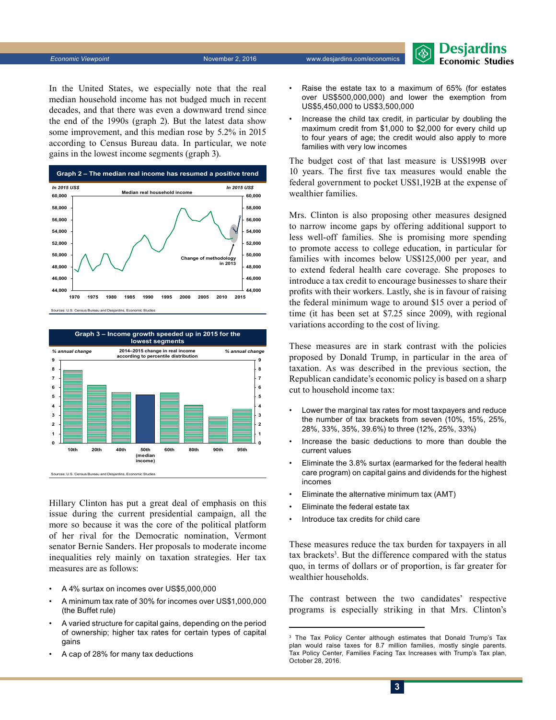In the United States, we especially note that the real median household income has not budged much in recent decades, and that there was even a downward trend since the end of the 1990s (graph 2). But the latest data show some improvement, and this median rose by 5.2% in 2015 according to Census Bureau data. In particular, we note gains in the lowest income segments (graph 3).



Sources: U.S. Census Bureau and Desjardins, Eco



Hillary Clinton has put a great deal of emphasis on this issue during the current presidential campaign, all the more so because it was the core of the political platform of her rival for the Democratic nomination, Vermont senator Bernie Sanders. Her proposals to moderate income inequalities rely mainly on taxation strategies. Her tax measures are as follows:

- A 4% surtax on incomes over US\$5,000,000
- A minimum tax rate of 30% for incomes over US\$1,000,000 (the Buffet rule)
- A varied structure for capital gains, depending on the period of ownership; higher tax rates for certain types of capital gains
- A cap of 28% for many tax deductions

• Raise the estate tax to a maximum of 65% (for estates over US\$500,000,000) and lower the exemption from US\$5,450,000 to US\$3,500,000

Desjardins **Economic Studies** 

• Increase the child tax credit, in particular by doubling the maximum credit from \$1,000 to \$2,000 for every child up to four years of age; the credit would also apply to more families with very low incomes

The budget cost of that last measure is US\$199B over 10 years. The first five tax measures would enable the federal government to pocket US\$1,192B at the expense of wealthier families.

Mrs. Clinton is also proposing other measures designed to narrow income gaps by offering additional support to less well-off families. She is promising more spending to promote access to college education, in particular for families with incomes below US\$125,000 per year, and to extend federal health care coverage. She proposes to introduce a tax credit to encourage businesses to share their profits with their workers. Lastly, she is in favour of raising the federal minimum wage to around \$15 over a period of time (it has been set at \$7.25 since 2009), with regional variations according to the cost of living.

These measures are in stark contrast with the policies proposed by Donald Trump, in particular in the area of taxation. As was described in the previous section, the Republican candidate's economic policy is based on a sharp cut to household income tax:

- Lower the marginal tax rates for most taxpayers and reduce the number of tax brackets from seven (10%, 15%, 25%, 28%, 33%, 35%, 39.6%) to three (12%, 25%, 33%)
- Increase the basic deductions to more than double the current values
- Eliminate the 3.8% surtax (earmarked for the federal health care program) on capital gains and dividends for the highest incomes
- Eliminate the alternative minimum tax (AMT)
- Eliminate the federal estate tax
- Introduce tax credits for child care

These measures reduce the tax burden for taxpayers in all tax brackets<sup>3</sup>. But the difference compared with the status quo, in terms of dollars or of proportion, is far greater for wealthier households.

The contrast between the two candidates' respective programs is especially striking in that Mrs. Clinton's

<sup>&</sup>lt;sup>3</sup> The Tax Policy Center although estimates that Donald Trump's Tax plan would raise taxes for 8.7 million families, mostly single parents. Tax Policy Center, Families Facing Tax Increases with Trump's Tax plan, October 28, 2016.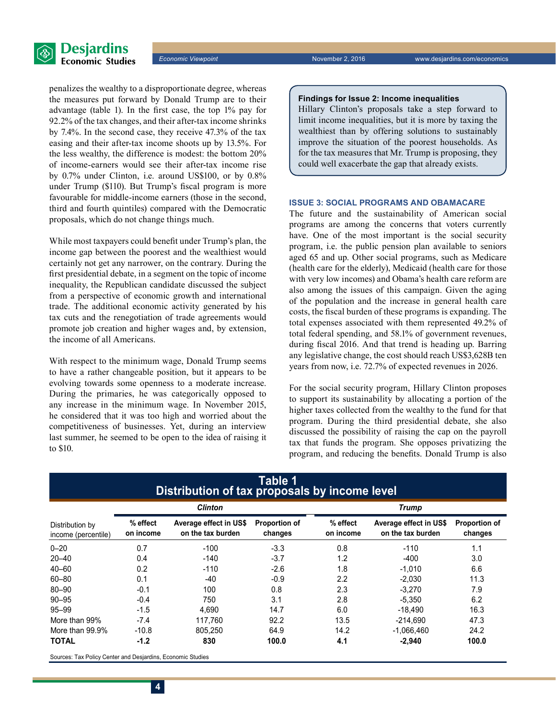

**Economic Viewpoint November 2, 2016** www.desjardins.com/economics

penalizes the wealthy to a disproportionate degree, whereas the measures put forward by Donald Trump are to their advantage (table 1). In the first case, the top 1% pay for 92.2% of the tax changes, and their after-tax income shrinks by 7.4%. In the second case, they receive 47.3% of the tax easing and their after-tax income shoots up by 13.5%. For the less wealthy, the difference is modest: the bottom 20% of income-earners would see their after-tax income rise by 0.7% under Clinton, i.e. around US\$100, or by 0.8% under Trump (\$110). But Trump's fiscal program is more favourable for middle-income earners (those in the second, third and fourth quintiles) compared with the Democratic proposals, which do not change things much.

While most taxpayers could benefit under Trump's plan, the income gap between the poorest and the wealthiest would certainly not get any narrower, on the contrary. During the first presidential debate, in a segment on the topic of income inequality, the Republican candidate discussed the subject from a perspective of economic growth and international trade. The additional economic activity generated by his tax cuts and the renegotiation of trade agreements would promote job creation and higher wages and, by extension, the income of all Americans.

With respect to the minimum wage, Donald Trump seems to have a rather changeable position, but it appears to be evolving towards some openness to a moderate increase. During the primaries, he was categorically opposed to any increase in the minimum wage. In November 2015, he considered that it was too high and worried about the competitiveness of businesses. Yet, during an interview last summer, he seemed to be open to the idea of raising it to \$10.

### **Findings for Issue 2: Income inequalities**

Hillary Clinton's proposals take a step forward to limit income inequalities, but it is more by taxing the wealthiest than by offering solutions to sustainably improve the situation of the poorest households. As for the tax measures that Mr. Trump is proposing, they could well exacerbate the gap that already exists.

### **ISSUE 3: SOCIAL PROGRAMS AND OBAMACARE**

The future and the sustainability of American social programs are among the concerns that voters currently have. One of the most important is the social security program, i.e. the public pension plan available to seniors aged 65 and up. Other social programs, such as Medicare (health care for the elderly), Medicaid (health care for those with very low incomes) and Obama's health care reform are also among the issues of this campaign. Given the aging of the population and the increase in general health care costs, the fiscal burden of these programs is expanding. The total expenses associated with them represented 49.2% of total federal spending, and 58.1% of government revenues, during fiscal 2016. And that trend is heading up. Barring any legislative change, the cost should reach US\$3,628B ten years from now, i.e. 72.7% of expected revenues in 2026.

For the social security program, Hillary Clinton proposes to support its sustainability by allocating a portion of the higher taxes collected from the wealthy to the fund for that program. During the third presidential debate, she also discussed the possibility of raising the cap on the payroll tax that funds the program. She opposes privatizing the program, and reducing the benefits. Donald Trump is also

|                                        | Distribution of tax proposals by income level<br><b>Clinton</b> |                                             |                                 | <b>Trump</b>          |                                             |                          |
|----------------------------------------|-----------------------------------------------------------------|---------------------------------------------|---------------------------------|-----------------------|---------------------------------------------|--------------------------|
| Distribution by<br>income (percentile) | % effect<br>on income                                           | Average effect in US\$<br>on the tax burden | <b>Proportion of</b><br>changes | % effect<br>on income | Average effect in US\$<br>on the tax burden | Proportion of<br>changes |
| $0 - 20$                               | 0.7                                                             | $-100$                                      | $-3.3$                          | 0.8                   | $-110$                                      | 1.1                      |
| $20 - 40$                              | 0.4                                                             | $-140$                                      | $-3.7$                          | 1.2                   | $-400$                                      | 3.0                      |
| $40 - 60$                              | 0.2                                                             | $-110$                                      | $-2.6$                          | 1.8                   | $-1,010$                                    | 6.6                      |
| $60 - 80$                              | 0.1                                                             | $-40$                                       | $-0.9$                          | 2.2                   | $-2,030$                                    | 11.3                     |
| $80 - 90$                              | $-0.1$                                                          | 100                                         | 0.8                             | 2.3                   | $-3,270$                                    | 7.9                      |
| $90 - 95$                              | $-0.4$                                                          | 750                                         | 3.1                             | 2.8                   | $-5.350$                                    | 6.2                      |
| $95 - 99$                              | $-1.5$                                                          | 4.690                                       | 14.7                            | 6.0                   | -18.490                                     | 16.3                     |
| More than 99%                          | $-7.4$                                                          | 117.760                                     | 92.2                            | 13.5                  | $-214.690$                                  | 47.3                     |
| More than 99.9%                        | $-10.8$                                                         | 805.250                                     | 64.9                            | 14.2                  | $-1,066,460$                                | 24.2                     |
| <b>TOTAL</b>                           | $-1.2$                                                          | 830                                         | 100.0                           | 4.1                   | $-2,940$                                    | 100.0                    |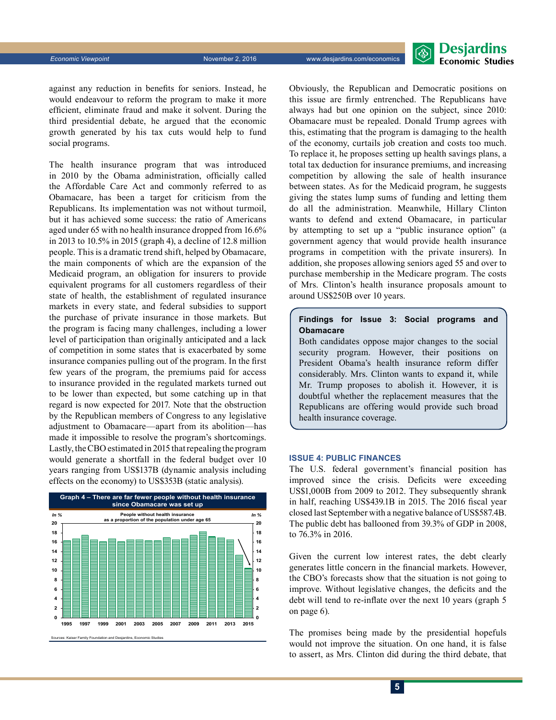

against any reduction in benefits for seniors. Instead, he would endeavour to reform the program to make it more efficient, eliminate fraud and make it solvent. During the third presidential debate, he argued that the economic growth generated by his tax cuts would help to fund social programs.

The health insurance program that was introduced in 2010 by the Obama administration, officially called the Affordable Care Act and commonly referred to as Obamacare, has been a target for criticism from the Republicans. Its implementation was not without turmoil, but it has achieved some success: the ratio of Americans aged under 65 with no health insurance dropped from 16.6% in 2013 to 10.5% in 2015 (graph 4), a decline of 12.8 million people. This is a dramatic trend shift, helped by Obamacare, the main components of which are the expansion of the Medicaid program, an obligation for insurers to provide equivalent programs for all customers regardless of their state of health, the establishment of regulated insurance markets in every state, and federal subsidies to support the purchase of private insurance in those markets. But the program is facing many challenges, including a lower level of participation than originally anticipated and a lack of competition in some states that is exacerbated by some insurance companies pulling out of the program. In the first few years of the program, the premiums paid for access to insurance provided in the regulated markets turned out to be lower than expected, but some catching up in that regard is now expected for 2017. Note that the obstruction by the Republican members of Congress to any legislative adjustment to Obamacare—apart from its abolition—has made it impossible to resolve the program's shortcomings. Lastly, the CBO estimated in 2015 that repealing the program would generate a shortfall in the federal budget over 10 years ranging from US\$137B (dynamic analysis including effects on the economy) to US\$353B (static analysis).



Obviously, the Republican and Democratic positions on this issue are firmly entrenched. The Republicans have always had but one opinion on the subject, since 2010: Obamacare must be repealed. Donald Trump agrees with this, estimating that the program is damaging to the health of the economy, curtails job creation and costs too much. To replace it, he proposes setting up health savings plans, a total tax deduction for insurance premiums, and increasing competition by allowing the sale of health insurance between states. As for the Medicaid program, he suggests giving the states lump sums of funding and letting them do all the administration. Meanwhile, Hillary Clinton wants to defend and extend Obamacare, in particular by attempting to set up a "public insurance option" (a government agency that would provide health insurance programs in competition with the private insurers). In addition, she proposes allowing seniors aged 55 and over to purchase membership in the Medicare program. The costs of Mrs. Clinton's health insurance proposals amount to around US\$250B over 10 years.

### **Findings for Issue 3: Social programs and Obamacare**

Both candidates oppose major changes to the social security program. However, their positions on President Obama's health insurance reform differ considerably. Mrs. Clinton wants to expand it, while Mr. Trump proposes to abolish it. However, it is doubtful whether the replacement measures that the Republicans are offering would provide such broad health insurance coverage.

#### **ISSUE 4: PUBLIC FINANCES**

The U.S. federal government's financial position has improved since the crisis. Deficits were exceeding US\$1,000B from 2009 to 2012. They subsequently shrank in half, reaching US\$439.1B in 2015. The 2016 fiscal year closed last September with a negative balance of US\$587.4B. The public debt has ballooned from 39.3% of GDP in 2008, to 76.3% in 2016.

Given the current low interest rates, the debt clearly generates little concern in the financial markets. However, the CBO's forecasts show that the situation is not going to improve. Without legislative changes, the deficits and the debt will tend to re-inflate over the next 10 years (graph 5 on page 6).

The promises being made by the presidential hopefuls would not improve the situation. On one hand, it is false to assert, as Mrs. Clinton did during the third debate, that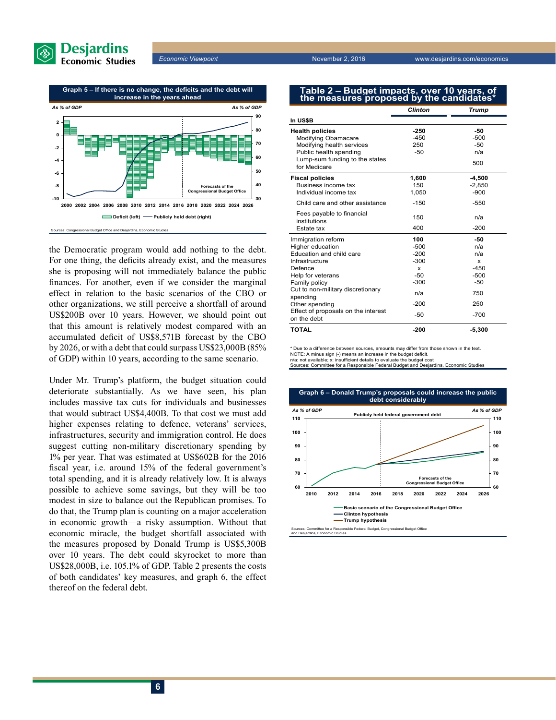



the Democratic program would add nothing to the debt. For one thing, the deficits already exist, and the measures she is proposing will not immediately balance the public finances. For another, even if we consider the marginal effect in relation to the basic scenarios of the CBO or other organizations, we still perceive a shortfall of around US\$200B over 10 years. However, we should point out that this amount is relatively modest compared with an accumulated deficit of US\$8,571B forecast by the CBO by 2026, or with a debt that could surpass US\$23,000B (85% of GDP) within 10 years, according to the same scenario.

Under Mr. Trump's platform, the budget situation could deteriorate substantially. As we have seen, his plan includes massive tax cuts for individuals and businesses that would subtract US\$4,400B. To that cost we must add higher expenses relating to defence, veterans' services, infrastructures, security and immigration control. He does suggest cutting non-military discretionary spending by 1% per year. That was estimated at US\$602B for the 2016 fiscal year, i.e. around 15% of the federal government's total spending, and it is already relatively low. It is always possible to achieve some savings, but they will be too modest in size to balance out the Republican promises. To do that, the Trump plan is counting on a major acceleration in economic growth—a risky assumption. Without that economic miracle, the budget shortfall associated with the measures proposed by Donald Trump is US\$5,300B over 10 years. The debt could skyrocket to more than US\$28,000B, i.e. 105.1% of GDP. Table 2 presents the costs of both candidates' key measures, and graph 6, the effect thereof on the federal debt.

**Economic Viewpoint November 2, 2016** www.desjardins.com/economics

## **Table 2 – Budget impacts, over 10 years, of the measures proposed by the candidates\***

|                                                                                                                                                                                                                                                                | <b>Clinton</b>                                                                      | <b>Trump</b>                                                                          |  |
|----------------------------------------------------------------------------------------------------------------------------------------------------------------------------------------------------------------------------------------------------------------|-------------------------------------------------------------------------------------|---------------------------------------------------------------------------------------|--|
| In US\$B                                                                                                                                                                                                                                                       |                                                                                     |                                                                                       |  |
| <b>Health policies</b><br>Modifying Obamacare<br>Modifying health services<br>Public health spending<br>Lump-sum funding to the states<br>for Medicare                                                                                                         | $-250$<br>$-450$<br>250<br>$-50$                                                    | -50<br>$-500$<br>$-50$<br>n/a<br>500                                                  |  |
| <b>Fiscal policies</b><br>Business income tax<br>Individual income tax                                                                                                                                                                                         | 1,600<br>150<br>1,050                                                               | $-4,500$<br>$-2,850$<br>$-900$                                                        |  |
| Child care and other assistance                                                                                                                                                                                                                                | $-150$                                                                              | $-550$                                                                                |  |
| Fees payable to financial<br>institutions<br>Estate tax                                                                                                                                                                                                        | 150<br>400                                                                          | n/a<br>$-200$                                                                         |  |
| Immigration reform<br>Higher education<br>Education and child care<br>Infrastructure<br>Defence<br>Help for veterans<br>Family policy<br>Cut to non-military discretionary<br>spending<br>Other spending<br>Effect of proposals on the interest<br>on the debt | 100<br>$-500$<br>$-200$<br>$-300$<br>x<br>$-50$<br>$-300$<br>n/a<br>$-200$<br>$-50$ | -50<br>n/a<br>n/a<br>$\mathbf x$<br>$-450$<br>$-500$<br>$-50$<br>750<br>250<br>$-700$ |  |
| <b>TOTAL</b>                                                                                                                                                                                                                                                   | $-200$                                                                              | $-5,300$                                                                              |  |

Due to a difference between sources, amounts may differ from those shown in the text

NOTE: A minus sign (-) means an increase in the budget deficit. n/a: not available; x: insufficient details to evaluate the budget cost

Sources: Committee for a Responsible Federal Budget and Desjarding

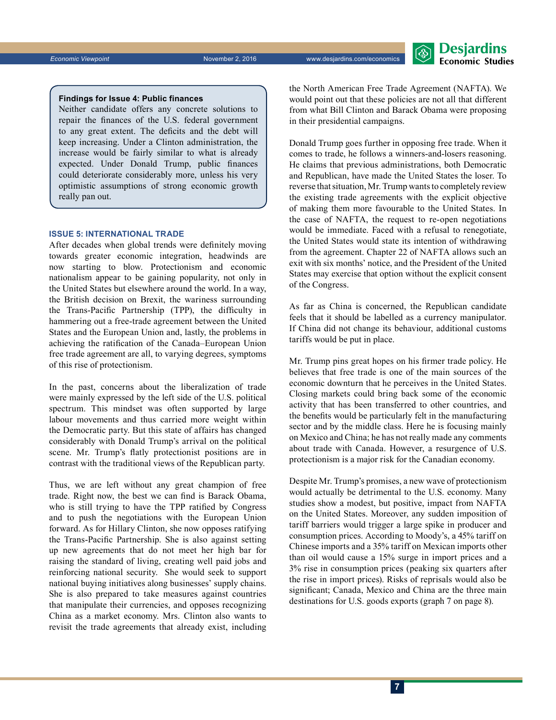*Economic Viewpoint* November 2, 2016 www.desjardins.com/economics



### **Findings for Issue 4: Public finances**

Neither candidate offers any concrete solutions to repair the finances of the U.S. federal government to any great extent. The deficits and the debt will keep increasing. Under a Clinton administration, the increase would be fairly similar to what is already expected. Under Donald Trump, public finances could deteriorate considerably more, unless his very optimistic assumptions of strong economic growth really pan out.

### **ISSUE 5: INTERNATIONAL TRADE**

After decades when global trends were definitely moving towards greater economic integration, headwinds are now starting to blow. Protectionism and economic nationalism appear to be gaining popularity, not only in the United States but elsewhere around the world. In a way, the British decision on Brexit, the wariness surrounding the Trans-Pacific Partnership (TPP), the difficulty in hammering out a free-trade agreement between the United States and the European Union and, lastly, the problems in achieving the ratification of the Canada–European Union free trade agreement are all, to varying degrees, symptoms of this rise of protectionism.

In the past, concerns about the liberalization of trade were mainly expressed by the left side of the U.S. political spectrum. This mindset was often supported by large labour movements and thus carried more weight within the Democratic party. But this state of affairs has changed considerably with Donald Trump's arrival on the political scene. Mr. Trump's flatly protectionist positions are in contrast with the traditional views of the Republican party.

Thus, we are left without any great champion of free trade. Right now, the best we can find is Barack Obama, who is still trying to have the TPP ratified by Congress and to push the negotiations with the European Union forward. As for Hillary Clinton, she now opposes ratifying the Trans‑Pacific Partnership. She is also against setting up new agreements that do not meet her high bar for raising the standard of living, creating well paid jobs and reinforcing national security. She would seek to support national buying initiatives along businesses' supply chains. She is also prepared to take measures against countries that manipulate their currencies, and opposes recognizing China as a market economy. Mrs. Clinton also wants to revisit the trade agreements that already exist, including the North American Free Trade Agreement (NAFTA). We would point out that these policies are not all that different from what Bill Clinton and Barack Obama were proposing in their presidential campaigns.

Donald Trump goes further in opposing free trade. When it comes to trade, he follows a winners-and-losers reasoning. He claims that previous administrations, both Democratic and Republican, have made the United States the loser. To reverse that situation, Mr. Trump wants to completely review the existing trade agreements with the explicit objective of making them more favourable to the United States. In the case of NAFTA, the request to re-open negotiations would be immediate. Faced with a refusal to renegotiate, the United States would state its intention of withdrawing from the agreement. Chapter 22 of NAFTA allows such an exit with six months' notice, and the President of the United States may exercise that option without the explicit consent of the Congress.

As far as China is concerned, the Republican candidate feels that it should be labelled as a currency manipulator. If China did not change its behaviour, additional customs tariffs would be put in place.

Mr. Trump pins great hopes on his firmer trade policy. He believes that free trade is one of the main sources of the economic downturn that he perceives in the United States. Closing markets could bring back some of the economic activity that has been transferred to other countries, and the benefits would be particularly felt in the manufacturing sector and by the middle class. Here he is focusing mainly on Mexico and China; he has not really made any comments about trade with Canada. However, a resurgence of U.S. protectionism is a major risk for the Canadian economy.

Despite Mr. Trump's promises, a new wave of protectionism would actually be detrimental to the U.S. economy. Many studies show a modest, but positive, impact from NAFTA on the United States. Moreover, any sudden imposition of tariff barriers would trigger a large spike in producer and consumption prices. According to Moody's, a 45% tariff on Chinese imports and a 35% tariff on Mexican imports other than oil would cause a 15% surge in import prices and a 3% rise in consumption prices (peaking six quarters after the rise in import prices). Risks of reprisals would also be significant; Canada, Mexico and China are the three main destinations for U.S. goods exports (graph 7 on page 8).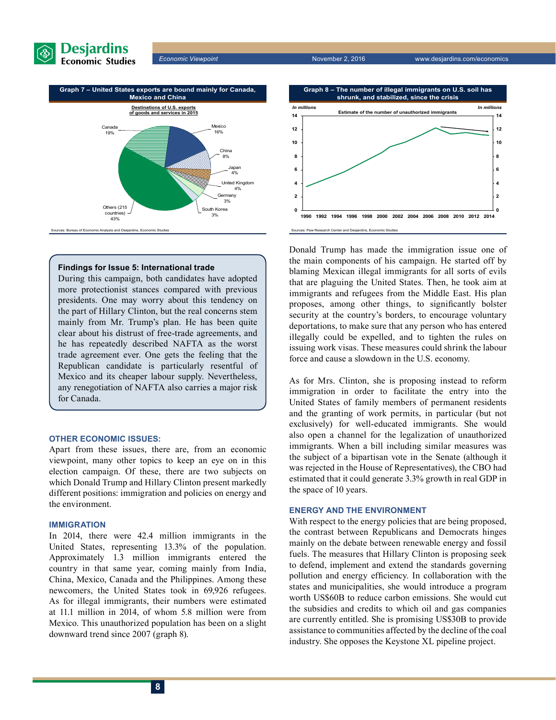

*Economic Viewpoint* November 2, 2016 www.desjardins.com/economics



### **Findings for Issue 5: International trade**

During this campaign, both candidates have adopted more protectionist stances compared with previous presidents. One may worry about this tendency on the part of Hillary Clinton, but the real concerns stem mainly from Mr. Trump's plan. He has been quite clear about his distrust of free-trade agreements, and he has repeatedly described NAFTA as the worst trade agreement ever. One gets the feeling that the Republican candidate is particularly resentful of Mexico and its cheaper labour supply. Nevertheless, any renegotiation of NAFTA also carries a major risk for Canada.

### **OTHER ECONOMIC ISSUES:**

Apart from these issues, there are, from an economic viewpoint, many other topics to keep an eye on in this election campaign. Of these, there are two subjects on which Donald Trump and Hillary Clinton present markedly different positions: immigration and policies on energy and the environment.

### **IMMIGRATION**

In 2014, there were 42.4 million immigrants in the United States, representing 13.3% of the population. Approximately 1.3 million immigrants entered the country in that same year, coming mainly from India, China, Mexico, Canada and the Philippines. Among these newcomers, the United States took in 69,926 refugees. As for illegal immigrants, their numbers were estimated at 11.1 million in 2014, of whom 5.8 million were from Mexico. This unauthorized population has been on a slight downward trend since 2007 (graph 8).



Donald Trump has made the immigration issue one of the main components of his campaign. He started off by blaming Mexican illegal immigrants for all sorts of evils that are plaguing the United States. Then, he took aim at immigrants and refugees from the Middle East. His plan proposes, among other things, to significantly bolster security at the country's borders, to encourage voluntary deportations, to make sure that any person who has entered illegally could be expelled, and to tighten the rules on issuing work visas. These measures could shrink the labour force and cause a slowdown in the U.S. economy.

As for Mrs. Clinton, she is proposing instead to reform immigration in order to facilitate the entry into the United States of family members of permanent residents and the granting of work permits, in particular (but not exclusively) for well-educated immigrants. She would also open a channel for the legalization of unauthorized immigrants. When a bill including similar measures was the subject of a bipartisan vote in the Senate (although it was rejected in the House of Representatives), the CBO had estimated that it could generate 3.3% growth in real GDP in the space of 10 years.

### **ENERGY AND THE ENVIRONMENT**

With respect to the energy policies that are being proposed, the contrast between Republicans and Democrats hinges mainly on the debate between renewable energy and fossil fuels. The measures that Hillary Clinton is proposing seek to defend, implement and extend the standards governing pollution and energy efficiency. In collaboration with the states and municipalities, she would introduce a program worth US\$60B to reduce carbon emissions. She would cut the subsidies and credits to which oil and gas companies are currently entitled. She is promising US\$30B to provide assistance to communities affected by the decline of the coal industry. She opposes the Keystone XL pipeline project.

**8**